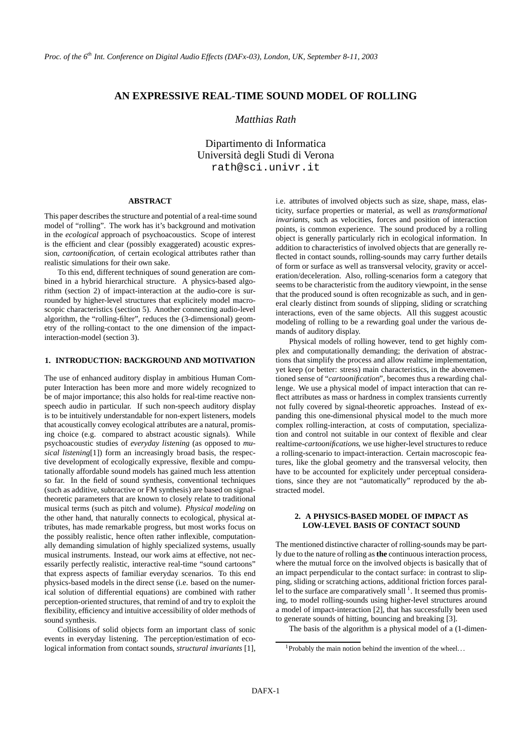# **AN EXPRESSIVE REAL-TIME SOUND MODEL OF ROLLING**

# *Matthias Rath*

Dipartimento di Informatica Universita` degli Studi di Verona rath@sci.univr.it

### **ABSTRACT**

This paper describes the structure and potential of a real-time sound model of "rolling". The work has it's background and motivation in the *ecological* approach of psychoacoustics. Scope of interest is the efficient and clear (possibly exaggerated) acoustic expression, *cartoonification*, of certain ecological attributes rather than realistic simulations for their own sake.

To this end, different techniques of sound generation are combined in a hybrid hierarchical structure. A physics-based algorithm (section 2) of impact-interaction at the audio-core is surrounded by higher-level structures that explicitely model macroscopic characteristics (section 5). Another connecting audio-level algorithm, the "rolling-filter", reduces the (3-dimensional) geometry of the rolling-contact to the one dimension of the impactinteraction-model (section 3).

### **1. INTRODUCTION: BACKGROUND AND MOTIVATION**

The use of enhanced auditory display in ambitious Human Computer Interaction has been more and more widely recognized to be of major importance; this also holds for real-time reactive nonspeech audio in particular. If such non-speech auditory display is to be intuitively understandable for non-expert listeners, models that acoustically convey ecological attributes are a natural, promising choice (e.g. compared to abstract acoustic signals). While psychoacoustic studies of *everyday listening* (as opposed to *musical listening*[1]) form an increasingly broad basis, the respective development of ecologically expressive, flexible and computationally affordable sound models has gained much less attention so far. In the field of sound synthesis, conventional techniques (such as additive, subtractive or FM synthesis) are based on signaltheoretic parameters that are known to closely relate to traditional musical terms (such as pitch and volume). *Physical modeling* on the other hand, that naturally connects to ecological, physical attributes, has made remarkable progress, but most works focus on the possibly realistic, hence often rather inflexible, computationally demanding simulation of highly specialized systems, usually musical instruments. Instead, our work aims at effective, not necessarily perfectly realistic, interactive real-time "sound cartoons" that express aspects of familiar everyday scenarios. To this end physics-based models in the direct sense (i.e. based on the numerical solution of differential equations) are combined with rather perception-oriented structures, that remind of and try to exploit the flexibility, efficiency and intuitive accessibility of older methods of sound synthesis.

Collisions of solid objects form an important class of sonic events in everyday listening. The perception/estimation of ecological information from contact sounds, *structural invariants* [1], i.e. attributes of involved objects such as size, shape, mass, elasticity, surface properties or material, as well as *transformational invariants*, such as velocities, forces and position of interaction points, is common experience. The sound produced by a rolling object is generally particularly rich in ecological information. In addition to characteristics of involved objects that are generally reflected in contact sounds, rolling-sounds may carry further details of form or surface as well as transversal velocity, gravity or acceleration/deceleration. Also, rolling-scenarios form a category that seems to be characteristic from the auditory viewpoint, in the sense that the produced sound is often recognizable as such, and in general clearly distinct from sounds of slipping, sliding or scratching interactions, even of the same objects. All this suggest acoustic modeling of rolling to be a rewarding goal under the various demands of auditory display.

Physical models of rolling however, tend to get highly complex and computationally demanding; the derivation of abstractions that simplify the process and allow realtime implementation, yet keep (or better: stress) main characteristics, in the abovementioned sense of "*cartoonification*", becomes thus a rewarding challenge. We use a physical model of impact interaction that can reflect attributes as mass or hardness in complex transients currently not fully covered by signal-theoretic approaches. Instead of expanding this one-dimensional physical model to the much more complex rolling-interaction, at costs of computation, specialization and control not suitable in our context of flexible and clear realtime-*cartoonifications*, we use higher-level structures to reduce a rolling-scenario to impact-interaction. Certain macroscopic features, like the global geometry and the transversal velocity, then have to be accounted for explicitely under perceptual considerations, since they are not "automatically" reproduced by the abstracted model.

### **2. A PHYSICS-BASED MODEL OF IMPACT AS LOW-LEVEL BASIS OF CONTACT SOUND**

The mentioned distinctive character of rolling-sounds may be partly due to the nature of rolling as**the** continuousinteraction process, where the mutual force on the involved objects is basically that of an impact perpendicular to the contact surface: in contrast to slipping, sliding or scratching actions, additional friction forces parallel to the surface are comparatively small  $<sup>1</sup>$ . It seemed thus promis-</sup> ing, to model rolling-sounds using higher-level structures around a model of impact-interaction [2], that has successfully been used to generate sounds of hitting, bouncing and breaking [3].

The basis of the algorithm is a physical model of a (1-dimen-

<sup>&</sup>lt;sup>1</sup>Probably the main notion behind the invention of the wheel...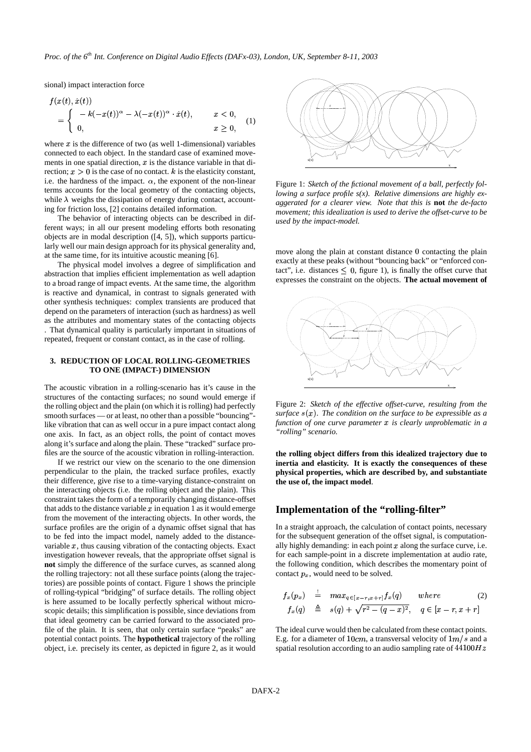sional) impact interaction force

$$
f(x(t), \dot{x}(t)) = \begin{cases} -k(-x(t))^{\alpha} - \lambda(-x(t))^{\alpha} \cdot \dot{x}(t), & x < 0, \\ 0, & x \ge 0, \end{cases}
$$
 (1)

where  $x$  is the difference of two (as well 1-dimensional) variables connected to each object. In the standard case of examined movements in one spatial direction,  $x$  is the distance variable in that direction;  $x > 0$  is the case of no contact. k is the elasticity constant, i.e. the hardness of the impact.  $\alpha$ , the exponent of the non-linear terms accounts for the local geometry of the contacting objects, while  $\lambda$  weighs the dissipation of energy during contact, accounting for friction loss, [2] contains detailed information.

The behavior of interacting objects can be described in different ways; in all our present modeling efforts both resonating objects are in modal description ([4, 5]), which supports particularly well our main design approach for its physical generality and, at the same time, for its intuitive acoustic meaning [6].

The physical model involves a degree of simplification and abstraction that implies efficient implementation as well adaption to a broad range of impact events. At the same time, the algorithm is reactive and dynamical, in contrast to signals generated with other synthesis techniques: complex transients are produced that depend on the parameters of interaction (such as hardness) as well as the attributes and momentary states of the contacting objects . That dynamical quality is particularly important in situations of repeated, frequent or constant contact, as in the case of rolling.

### **3. REDUCTION OF LOCAL ROLLING-GEOMETRIES TO ONE (IMPACT-) DIMENSION**

The acoustic vibration in a rolling-scenario has it's cause in the structures of the contacting surfaces; no sound would emerge if the rolling object and the plain (on which it is rolling) had perfectly smooth surfaces — or at least, no other than a possible "bouncing" like vibration that can as well occur in a pure impact contact along one axis. In fact, as an object rolls, the point of contact moves along it's surface and along the plain. These "tracked" surface profiles are the source of the acoustic vibration in rolling-interaction.

If we restrict our view on the scenario to the one dimension perpendicular to the plain, the tracked surface profiles, exactly their difference, give rise to a time-varying distance-constraint on the interacting objects (i.e. the rolling object and the plain). This constraint takes the form of a temporarily changing distance-offset that adds to the distance variable  $x$  in equation 1 as it would emerge from the movement of the interacting objects. In other words, the surface profiles are the origin of a dynamic offset signal that has to be fed into the impact model, namely added to the distancevariable  $x$ , thus causing vibration of the contacting objects. Exact investigation however reveals, that the appropriate offset signal is **not** simply the difference of the surface curves, as scanned along the rolling trajectory: not all these surface points (along the trajectories) are possible points of contact. Figure 1 shows the principle of rolling-typical "bridging" of surface details. The rolling object is here assumed to be locally perfectly spherical without microscopic details; this simplification is possible, since deviations from that ideal geometry can be carried forward to the associated profile of the plain. It is seen, that only certain surface "peaks" are potential contact points. The **hypothetical** trajectory of the rolling object, i.e. precisely its center, as depicted in figure 2, as it would



Figure 1: *Sketch of the fictional movement of a ball, perfectly following a surface profile s(x). Relative dimensions are highly exaggerated for a clearer view. Note that this is* **not** *the de-facto movement; this idealization is used to derive the offset-curve to be used by the impact-model.*

move along the plain at constant distance 0 contacting the plain exactly at these peaks (without "bouncing back" or "enforced contact", i.e. distances  $\leq 0$ , figure 1), is finally the offset curve that expresses the constraint on the objects. **The actual movement of**



Figure 2: *Sketch of the effective offset-curve, resulting from the surface* % & *. The condition on the surface to be expressible as a function of one curve parameter is clearly unproblematic in a "rolling" scenario.*

**the rolling object differs from this idealized trajectory due to inertia and elasticity. It is exactly the consequences of these physical properties, which are described by, and substantiate the use of, the impact model**.

# **Implementation of the "rolling-filter"**

In a straight approach, the calculation of contact points, necessary for the subsequent generation of the offset signal, is computationally highly demanding: in each point  $x$  along the surface curve, i.e. for each sample-point in a discrete implementation at audio rate, the following condition, which describes the momentary point of contact  $p_x$ , would need to be solved.

$$
f_x(p_x) \stackrel{!}{=} \max_{q \in [x-r, x+r]} f_x(q) \quad \text{where} \quad (2)
$$
  

$$
f_x(q) \stackrel{\triangle}{=} s(q) + \sqrt{r^2 - (q-x)^2}, \quad q \in [x-r, x+r]
$$

The ideal curve would then be calculated from these contact points. E.g. for a diameter of  $10cm$ , a transversal velocity of  $1m/s$  and a spatial resolution according to an audio sampling rate of  $44100Hz$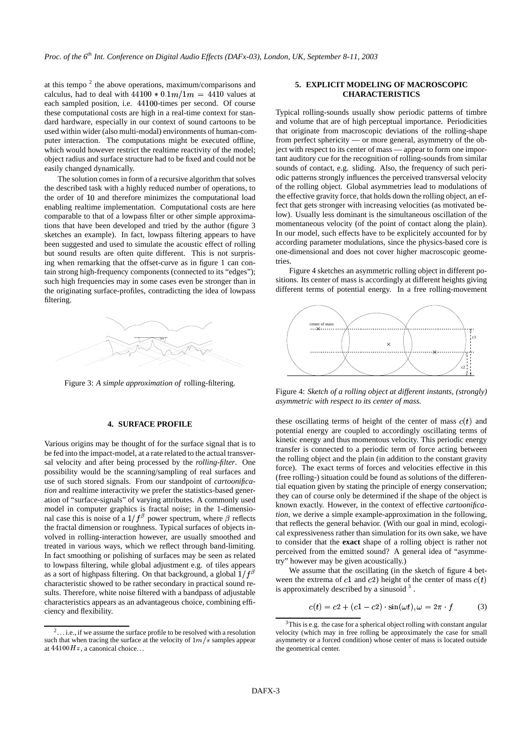at this tempo  $2$  the above operations, maximum/comparisons and calculus, had to deal with  $44100 * 0.1m / 1m = 4410$  values at each sampled position, i.e. 44100-times per second. Of course these computational costs are high in a real-time context for standard hardware, especially in our context of sound cartoons to be used within wider (also multi-modal) environments of human-computer interaction. The computations might be executed offline, which would however restrict the realtime reactivity of the model; object radius and surface structure had to be fixed and could not be easily changed dynamically.

The solution comes in form of a recursive algorithm that solves the described task with a highly reduced number of operations, to the order of 10 and therefore minimizes the computational load enabling realtime implementation. Computational costs are here comparable to that of a lowpass filter or other simple approximations that have been developed and tried by the author (figure 3 sketches an example). In fact, lowpass filtering appears to have been suggested and used to simulate the acoustic effect of rolling but sound results are often quite different. This is not surprising when remarking that the offset-curve as in figure 1 can contain strong high-frequency components (connected to its "edges"); such high frequencies may in some cases even be stronger than in the originating surface-profiles, contradicting the idea of lowpass filtering.



Figure 3: *A simple approximation of* rolling-filtering*.*

# **4. SURFACE PROFILE**

Various origins may be thought of for the surface signal that is to be fed into the impact-model, at a rate related to the actual transversal velocity and after being processed by the *rolling-filter*. One possibility would be the scanning/sampling of real surfaces and use of such stored signals. From our standpoint of *cartoonification* and realtime interactivity we prefer the statistics-based generation of "surface-signals" of varying attributes. A commonly used model in computer graphics is fractal noise; in the 1-dimensional case this is noise of a  $1/f^{\beta}$  power spectrum, where  $\beta$  reflects the fractal dimension or roughness. Typical surfaces of objects involved in rolling-interaction however, are usually smoothed and treated in various ways, which we reflect through band-limiting. In fact smoothing or polishing of surfaces may be seen as related to lowpass filtering, while global adjustment e.g. of tiles appears as a sort of highpass filtering. On that background, a global  $1/f^{\beta}$ characteristic showed to be rather secondary in practical sound results. Therefore, white noise filtered with a bandpass of adjustable characteristics appears as an advantageous choice, combining efficiency and flexibility.

### **5. EXPLICIT MODELING OF MACROSCOPIC CHARACTERISTICS**

Typical rolling-sounds usually show periodic patterns of timbre and volume that are of high perceptual importance. Periodicities that originate from macroscopic deviations of the rolling-shape from perfect sphericity — or more general, asymmetry of the object with respect to its center of mass — appear to form one important auditory cue for the recognition of rolling-sounds from similar sounds of contact, e.g. sliding. Also, the frequency of such periodic patterns strongly influences the perceived transversal velocity of the rolling object. Global asymmetries lead to modulations of the effective gravity force, that holds down the rolling object, an effect that gets stronger with increasing velocities (as motivated below). Usually less dominant is the simultaneous oscillation of the momentaneous velocity (of the point of contact along the plain). In our model, such effects have to be explicitely accounted for by according parameter modulations, since the physics-based core is one-dimensional and does not cover higher macroscopic geometries.

Figure 4 sketches an asymmetric rolling object in different positions. Its center of mass is accordingly at different heights giving different terms of potential energy. In a free rolling-movement



Figure 4: *Sketch of a rolling object at different instants, (strongly) asymmetric with respect to its center of mass.*

these oscillating terms of height of the center of mass  $c(t)$  and potential energy are coupled to accordingly oscillating terms of kinetic energy and thus momentous velocity. This periodic energy transfer is connected to a periodic term of force acting between the rolling object and the plain (in addition to the constant gravity force). The exact terms of forces and velocities effective in this (free rolling-) situation could be found as solutions of the differential equation given by stating the principle of energy conservation; they can of course only be determined if the shape of the object is known exactly. However, in the context of effective *cartoonification*, we derive a simple example-approximation in the following, that reflects the general behavior. (With our goal in mind, ecological expressiveness rather than simulation for its own sake, we have to consider that the **exact** shape of a rolling object is rather not perceived from the emitted sound? A general idea of "asymmetry" however may be given acoustically.)

We assume that the oscillating (in the sketch of figure 4 between the extrema of c1 and c2) height of the center of mass  $c(t)$ is approximately described by a sinusoid  $3$ .

$$
c(t) = c2 + (c1 - c2) \cdot \sin(\omega t), \omega = 2\pi \cdot f \tag{3}
$$

 $2...$  i.e., if we assume the surface profile to be resolved with a resolution such that when tracing the surface at the velocity of  $1m/s$  samples appear at  $44100Hz$ , a canonical choice...

 $3$ This is e.g. the case for a spherical object rolling with constant angular velocity (which may in free rolling be approximately the case for small asymmetry or a forced condition) whose center of mass is located outside the geometrical center.